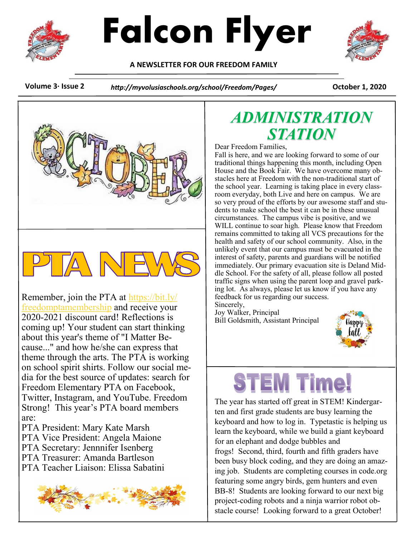



**A NEWSLETTER FOR OUR FREEDOM FAMILY**



**Volume 3· Issue 2** *http://myvolusiaschools.org/school/Freedom/Pages/* **October 1, 2020**



Remember, join the PTA at [https://bit.ly/](https://nam01.safelinks.protection.outlook.com/?url=https%3A%2F%2Fbit.ly%2Ffreedomptamembership&data=02%7C01%7Clahoover%40volusia.k12.fl.us%7C9adc39df60ef42adac3208d8653577b3%7C93e9784b350740ffbc0159ea8a1a7b71%7C0%7C0%7C637370627606418667&sdata=1sOCDz%2Fj%2FL) [freedomptamembership](https://nam01.safelinks.protection.outlook.com/?url=https%3A%2F%2Fbit.ly%2Ffreedomptamembership&data=02%7C01%7Clahoover%40volusia.k12.fl.us%7C9adc39df60ef42adac3208d8653577b3%7C93e9784b350740ffbc0159ea8a1a7b71%7C0%7C0%7C637370627606418667&sdata=1sOCDz%2Fj%2FL) and receive your 2020-2021 discount card! Reflections is coming up! Your student can start thinking about this year's theme of "I Matter Because..." and how he/she can express that theme through the arts. The PTA is working on school spirit shirts. Follow our social media for the best source of updates: search for Freedom Elementary PTA on Facebook, Twitter, Instagram, and YouTube. Freedom Strong! This year's PTA board members are:

PTA President: Mary Kate Marsh PTA Vice President: Angela Maione PTA Secretary: Jennnifer Isenberg PTA Treasurer: Amanda Bartleson PTA Teacher Liaison: Elissa Sabatini



#### *ADMINISTRATION STATION*

Dear Freedom Families,

Fall is here, and we are looking forward to some of our traditional things happening this month, including Open House and the Book Fair. We have overcome many obstacles here at Freedom with the non-traditional start of the school year. Learning is taking place in every classroom everyday, both Live and here on campus. We are so very proud of the efforts by our awesome staff and students to make school the best it can be in these unusual circumstances. The campus vibe is positive, and we WILL continue to soar high. Please know that Freedom remains committed to taking all VCS precautions for the health and safety of our school community. Also, in the unlikely event that our campus must be evacuated in the interest of safety, parents and guardians will be notified immediately. Our primary evacuation site is Deland Middle School. For the safety of all, please follow all posted traffic signs when using the parent loop and gravel parking lot. As always, please let us know if you have any feedback for us regarding our success.

Sincerely, Joy Walker, Principal Bill Goldsmith, Assistant Principal



#### **EM Time!**

The year has started off great in STEM! Kindergarten and first grade students are busy learning the keyboard and how to log in. Typetastic is helping us learn the keyboard, while we build a giant keyboard for an elephant and dodge bubbles and frogs! Second, third, fourth and fifth graders have been busy block coding, and they are doing an amazing job. Students are completing courses in code.org featuring some angry birds, gem hunters and even BB-8! Students are looking forward to our next big project-coding robots and a ninja warrior robot obstacle course! Looking forward to a great October!